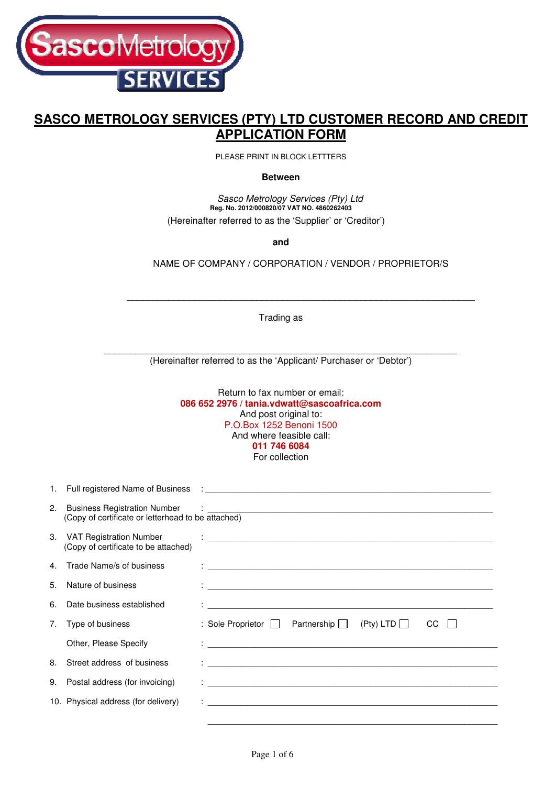

# **SASCO METROLOGY SERVICES (PTY) LTD CUSTOMER RECORD AND CREDIT APPLICATION FORM**

PLEASE PRINT IN BLOCK LETTTERS

**Between** 

 Sasco Metrology Services (Pty) Ltd **Reg. No. 2012/000820/07 VAT NO. 4860262403**  (Hereinafter referred to as the 'Supplier' or 'Creditor')

**and** 

NAME OF COMPANY / CORPORATION / VENDOR / PROPRIETOR/S

 $\overline{\phantom{a}}$  , and the set of the set of the set of the set of the set of the set of the set of the set of the set of the set of the set of the set of the set of the set of the set of the set of the set of the set of the s

Trading as

\_\_\_\_\_\_\_\_\_\_\_\_\_\_\_\_\_\_\_\_\_\_\_\_\_\_\_\_\_\_\_\_\_\_\_\_\_\_\_\_\_\_\_\_\_\_\_\_\_\_\_\_\_\_\_\_\_\_\_\_\_\_\_\_\_\_\_\_ (Hereinafter referred to as the 'Applicant/ Purchaser or 'Debtor')

> Return to fax number or email: **086 652 2976 / tania.vdwatt@sascoafrica.com**  And post original to: P.O.Box 1252 Benoni 1500 And where feasible call: **011 746 6084**  For collection

| 2. | <b>Business Registration Number</b><br>(Copy of certificate or letterhead to be attached) | $\ddot{\phantom{a}}$ . The contraction of the contract of the contract of the contract of the contract of the contract of the contract of the contract of the contract of the contract of the contract of the contract of the contract |
|----|-------------------------------------------------------------------------------------------|----------------------------------------------------------------------------------------------------------------------------------------------------------------------------------------------------------------------------------------|
|    | 3. VAT Registration Number<br>(Copy of certificate to be attached)                        | <u> 1989 - Andrea Stadt Britain, amerikansk politiker (d. 1989)</u>                                                                                                                                                                    |
|    | 4. Trade Name/s of business                                                               |                                                                                                                                                                                                                                        |
| 5. | Nature of business                                                                        |                                                                                                                                                                                                                                        |
| 6. | Date business established                                                                 |                                                                                                                                                                                                                                        |
| 7. | Type of business                                                                          | Partnership $\Box$ (Pty) LTD $\Box$<br>CC<br>: Sole Proprietor $\Box$                                                                                                                                                                  |
|    | Other, Please Specify                                                                     |                                                                                                                                                                                                                                        |
| 8. | Street address of business                                                                | <u> 1989 - Johann Stoff, fransk politik formuler (d. 1989)</u>                                                                                                                                                                         |
| 9. | Postal address (for invoicing)                                                            |                                                                                                                                                                                                                                        |
|    | 10. Physical address (for delivery)                                                       |                                                                                                                                                                                                                                        |
|    |                                                                                           |                                                                                                                                                                                                                                        |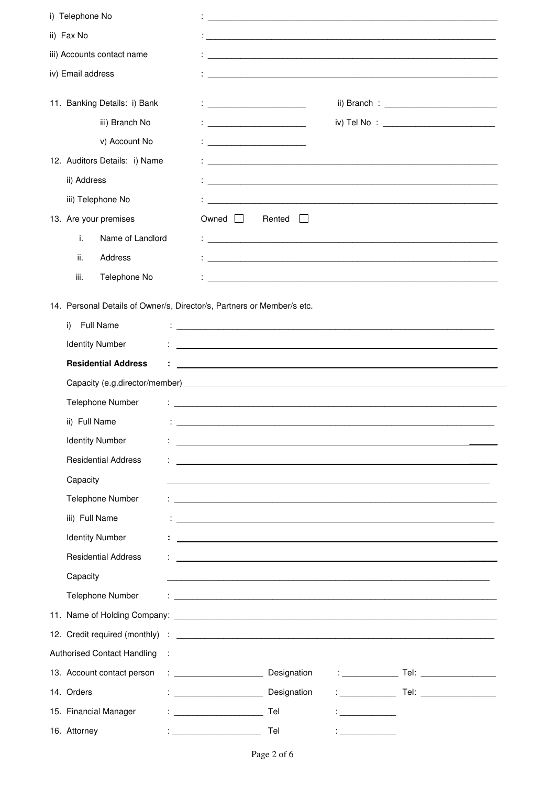| i) Telephone No                                                        |                                                                                                                                                                                                                                             |
|------------------------------------------------------------------------|---------------------------------------------------------------------------------------------------------------------------------------------------------------------------------------------------------------------------------------------|
| ii) Fax No                                                             |                                                                                                                                                                                                                                             |
| iii) Accounts contact name                                             |                                                                                                                                                                                                                                             |
| iv) Email address                                                      |                                                                                                                                                                                                                                             |
| 11. Banking Details: i) Bank                                           | $\vdots$ . The contract of the contract of the contract of the contract of the contract of the contract of the contract of the contract of the contract of the contract of the contract of the contract of the contract of the c            |
| iii) Branch No                                                         | iv) Tel No : _____________________________                                                                                                                                                                                                  |
| v) Account No                                                          | <u> 1986 - John Stein, Amerikaansk politiker (</u>                                                                                                                                                                                          |
| 12. Auditors Details: i) Name                                          |                                                                                                                                                                                                                                             |
| ii) Address                                                            |                                                                                                                                                                                                                                             |
| iii) Telephone No                                                      |                                                                                                                                                                                                                                             |
| 13. Are your premises                                                  | Owned $\Box$<br>Rented<br>$\mathbf{I}$                                                                                                                                                                                                      |
| i.<br>Name of Landlord                                                 |                                                                                                                                                                                                                                             |
| ii.<br>Address                                                         |                                                                                                                                                                                                                                             |
| iii.<br>Telephone No                                                   |                                                                                                                                                                                                                                             |
|                                                                        |                                                                                                                                                                                                                                             |
| 14. Personal Details of Owner/s, Director/s, Partners or Member/s etc. |                                                                                                                                                                                                                                             |
| <b>Full Name</b><br>i)                                                 |                                                                                                                                                                                                                                             |
| <b>Identity Number</b>                                                 | and the control of the control of the control of the control of the control of the control of the control of the                                                                                                                            |
| <b>Residential Address</b>                                             | <u> 1980 - Jan Samuel Barbara, martin a shekara tsara 1980 - An tsara 1980 - An tsara 1980 - An tsara 1980 - An t</u>                                                                                                                       |
|                                                                        | Capacity (e.g.director/member) example and the contract of the contract of the contract of the contract of the contract of the contract of the contract of the contract of the contract of the contract of the contract of the              |
| Telephone Number                                                       | <u> 2000 - Jan James James James James James James James James James James James James James James James James J</u>                                                                                                                        |
| ii) Full Name                                                          |                                                                                                                                                                                                                                             |
| <b>Identity Number</b>                                                 |                                                                                                                                                                                                                                             |
| <b>Residential Address</b>                                             |                                                                                                                                                                                                                                             |
| Capacity                                                               |                                                                                                                                                                                                                                             |
| Telephone Number                                                       |                                                                                                                                                                                                                                             |
| iii) Full Name                                                         |                                                                                                                                                                                                                                             |
| <b>Identity Number</b>                                                 | <u> 1989 - Johann Stoff, deutscher Stoff, der Stoff, der Stoff, der Stoff, der Stoff, der Stoff, der Stoff, der S</u>                                                                                                                       |
| <b>Residential Address</b>                                             |                                                                                                                                                                                                                                             |
| Capacity                                                               |                                                                                                                                                                                                                                             |
| Telephone Number                                                       | <u> 2000 - Jan Personal de Paris de la Paris de la Paris de la Paris de la Paris de la Paris de la Paris de la P</u>                                                                                                                        |
|                                                                        |                                                                                                                                                                                                                                             |
|                                                                        |                                                                                                                                                                                                                                             |
| <b>Authorised Contact Handling</b><br>$\cdot$ :                        |                                                                                                                                                                                                                                             |
| 13. Account contact person                                             | : _______________________________ Designation                                                                                                                                                                                               |
| 14. Orders                                                             | Designation<br><u>and the state of the state of the state</u>                                                                                                                                                                               |
| 15. Financial Manager                                                  | $\mathbf{1}_{\{1,2,3,4,5\}}$ . The set of the set of the set of the set of the set of the set of the set of the set of the set of the set of the set of the set of the set of the set of the set of the set of the set of the set of<br>Tel |
| 16. Attorney<br><u> 1986 - John Stein, Amerikaansk konst</u>           | Tel<br><u> 1999 - Johann Barbara, martin a</u>                                                                                                                                                                                              |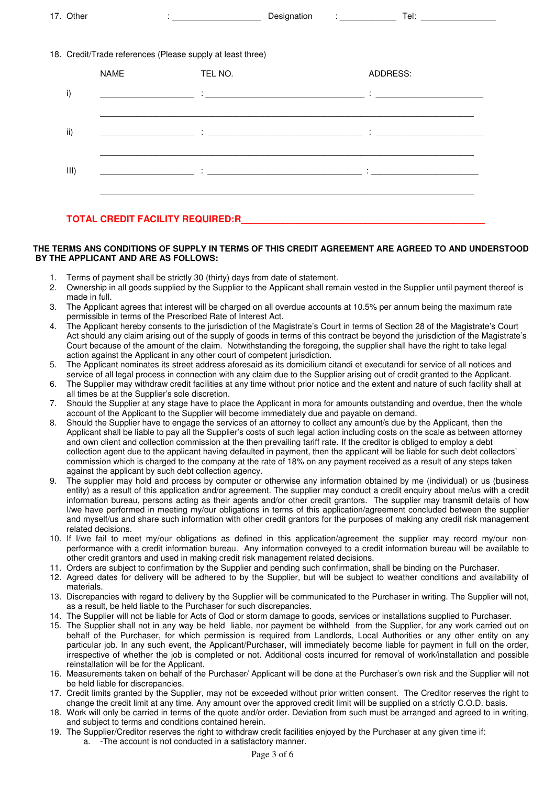| $\rightarrow$<br>⊃ther<br>. . | Siunalion<br>. .<br>$\sim$ | $\sim$<br>_<br>আ |
|-------------------------------|----------------------------|------------------|
|                               |                            |                  |

#### 18. Credit/Trade references (Please supply at least three)

|      | <b>NAME</b>                                  | TEL NO.                                                                      | ADDRESS:                                                          |
|------|----------------------------------------------|------------------------------------------------------------------------------|-------------------------------------------------------------------|
| i)   | the company of the company of the company of | $\bullet$<br>the contract of the contract of the contract of the contract of | <b>Service</b><br>the contract of the contract of the contract of |
| ii)  |                                              |                                                                              | the control of the control of the                                 |
| III) |                                              |                                                                              | the control of the control of the                                 |
|      |                                              |                                                                              |                                                                   |

### **TOTAL CREDIT FACILITY REQUIRED:R\_\_\_\_\_\_\_\_\_\_\_\_\_\_\_\_\_\_\_\_\_\_\_\_\_\_\_\_\_\_\_\_\_\_\_\_\_\_\_\_\_\_\_\_\_\_\_**

#### **THE TERMS ANS CONDITIONS OF SUPPLY IN TERMS OF THIS CREDIT AGREEMENT ARE AGREED TO AND UNDERSTOOD BY THE APPLICANT AND ARE AS FOLLOWS:**

- 1. Terms of payment shall be strictly 30 (thirty) days from date of statement.
- 2. Ownership in all goods supplied by the Supplier to the Applicant shall remain vested in the Supplier until payment thereof is made in full
- 3. The Applicant agrees that interest will be charged on all overdue accounts at 10.5% per annum being the maximum rate permissible in terms of the Prescribed Rate of Interest Act.
- 4. The Applicant hereby consents to the jurisdiction of the Magistrate's Court in terms of Section 28 of the Magistrate's Court Act should any claim arising out of the supply of goods in terms of this contract be beyond the jurisdiction of the Magistrate's Court because of the amount of the claim. Notwithstanding the foregoing, the supplier shall have the right to take legal action against the Applicant in any other court of competent jurisdiction.
- 5. The Applicant nominates its street address aforesaid as its domicilium citandi et executandi for service of all notices and service of all legal process in connection with any claim due to the Supplier arising out of credit granted to the Applicant.
- 6. The Supplier may withdraw credit facilities at any time without prior notice and the extent and nature of such facility shall at all times be at the Supplier's sole discretion.
- 7. Should the Supplier at any stage have to place the Applicant in mora for amounts outstanding and overdue, then the whole account of the Applicant to the Supplier will become immediately due and payable on demand.
- 8. Should the Supplier have to engage the services of an attorney to collect any amount/s due by the Applicant, then the Applicant shall be liable to pay all the Supplier's costs of such legal action including costs on the scale as between attorney and own client and collection commission at the then prevailing tariff rate. If the creditor is obliged to employ a debt collection agent due to the applicant having defaulted in payment, then the applicant will be liable for such debt collectors' commission which is charged to the company at the rate of 18% on any payment received as a result of any steps taken against the applicant by such debt collection agency.
- 9. The supplier may hold and process by computer or otherwise any information obtained by me (individual) or us (business entity) as a result of this application and/or agreement. The supplier may conduct a credit enquiry about me/us with a credit information bureau, persons acting as their agents and/or other credit grantors. The supplier may transmit details of how I/we have performed in meeting my/our obligations in terms of this application/agreement concluded between the supplier and myself/us and share such information with other credit grantors for the purposes of making any credit risk management related decisions.
- 10. If I/we fail to meet my/our obligations as defined in this application/agreement the supplier may record my/our nonperformance with a credit information bureau. Any information conveyed to a credit information bureau will be available to other credit grantors and used in making credit risk management related decisions.
- 11. Orders are subject to confirmation by the Supplier and pending such confirmation, shall be binding on the Purchaser.
- 12. Agreed dates for delivery will be adhered to by the Supplier, but will be subject to weather conditions and availability of materials.
- 13. Discrepancies with regard to delivery by the Supplier will be communicated to the Purchaser in writing. The Supplier will not, as a result, be held liable to the Purchaser for such discrepancies.
- 14. The Supplier will not be liable for Acts of God or storm damage to goods, services or installations supplied to Purchaser.
- 15. The Supplier shall not in any way be held liable, nor payment be withheld from the Supplier, for any work carried out on behalf of the Purchaser, for which permission is required from Landlords, Local Authorities or any other entity on any particular job. In any such event, the Applicant/Purchaser, will immediately become liable for payment in full on the order, irrespective of whether the job is completed or not. Additional costs incurred for removal of work/installation and possible reinstallation will be for the Applicant.
- 16. Measurements taken on behalf of the Purchaser/ Applicant will be done at the Purchaser's own risk and the Supplier will not be held liable for discrepancies.
- 17. Credit limits granted by the Supplier, may not be exceeded without prior written consent. The Creditor reserves the right to change the credit limit at any time. Any amount over the approved credit limit will be supplied on a strictly C.O.D. basis.
- 18. Work will only be carried in terms of the quote and/or order. Deviation from such must be arranged and agreed to in writing, and subject to terms and conditions contained herein.
- 19. The Supplier/Creditor reserves the right to withdraw credit facilities enjoyed by the Purchaser at any given time if:
	- a. -The account is not conducted in a satisfactory manner.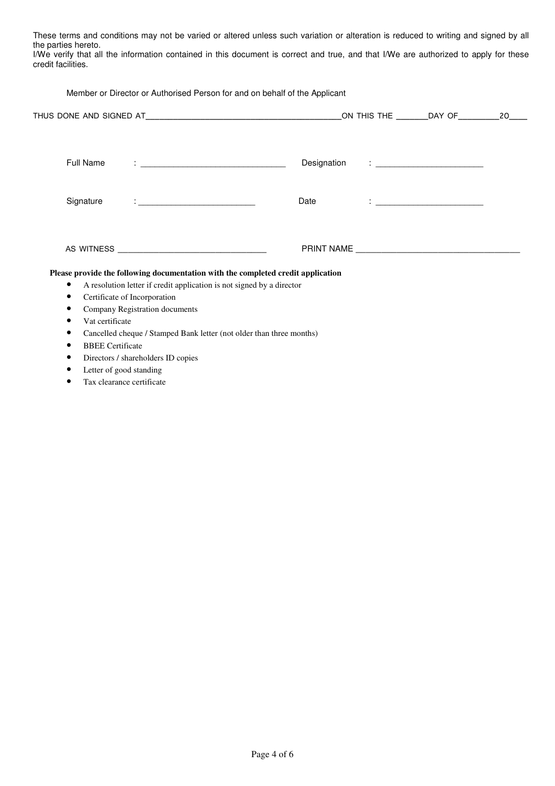These terms and conditions may not be varied or altered unless such variation or alteration is reduced to writing and signed by all the parties hereto.

I/We verify that all the information contained in this document is correct and true, and that I/We are authorized to apply for these credit facilities.

| Member or Director or Authorised Person for and on behalf of the Applicant |                                                                       |                                                                |                                                                                                                                                                                                                                                      |                                                                                  |  |                                                                                                                                                                                                                                   |  |
|----------------------------------------------------------------------------|-----------------------------------------------------------------------|----------------------------------------------------------------|------------------------------------------------------------------------------------------------------------------------------------------------------------------------------------------------------------------------------------------------------|----------------------------------------------------------------------------------|--|-----------------------------------------------------------------------------------------------------------------------------------------------------------------------------------------------------------------------------------|--|
|                                                                            |                                                                       |                                                                |                                                                                                                                                                                                                                                      |                                                                                  |  |                                                                                                                                                                                                                                   |  |
|                                                                            | Full Name                                                             |                                                                | <u> 1988 - Andrea Stein, amerikansk politiker (</u>                                                                                                                                                                                                  |                                                                                  |  |                                                                                                                                                                                                                                   |  |
|                                                                            | Signature                                                             |                                                                | $\mathcal{L}^{\mathcal{L}}$ , and $\mathcal{L}^{\mathcal{L}}$ , and the contribution of the contribution of the contribution of the contribution of the contribution of the contribution of the contribution of the contribution of the contribution | Date                                                                             |  | $\frac{1}{2}$ . The contract of the contract of the contract of the contract of the contract of the contract of the contract of the contract of the contract of the contract of the contract of the contract of the contract of t |  |
|                                                                            |                                                                       |                                                                |                                                                                                                                                                                                                                                      |                                                                                  |  |                                                                                                                                                                                                                                   |  |
|                                                                            |                                                                       |                                                                |                                                                                                                                                                                                                                                      | Please provide the following documentation with the completed credit application |  |                                                                                                                                                                                                                                   |  |
| $\bullet$                                                                  | A resolution letter if credit application is not signed by a director |                                                                |                                                                                                                                                                                                                                                      |                                                                                  |  |                                                                                                                                                                                                                                   |  |
| $\bullet$<br>٠                                                             |                                                                       | Certificate of Incorporation<br>Company Registration documents |                                                                                                                                                                                                                                                      |                                                                                  |  |                                                                                                                                                                                                                                   |  |
| ٠                                                                          | Vat certificate                                                       |                                                                |                                                                                                                                                                                                                                                      |                                                                                  |  |                                                                                                                                                                                                                                   |  |
| ٠                                                                          | Cancelled cheque / Stamped Bank letter (not older than three months)  |                                                                |                                                                                                                                                                                                                                                      |                                                                                  |  |                                                                                                                                                                                                                                   |  |
| <b>BBEE</b> Certificate                                                    |                                                                       |                                                                |                                                                                                                                                                                                                                                      |                                                                                  |  |                                                                                                                                                                                                                                   |  |
|                                                                            |                                                                       | Directors / shareholders ID copies                             |                                                                                                                                                                                                                                                      |                                                                                  |  |                                                                                                                                                                                                                                   |  |

- Letter of good standing
- Tax clearance certificate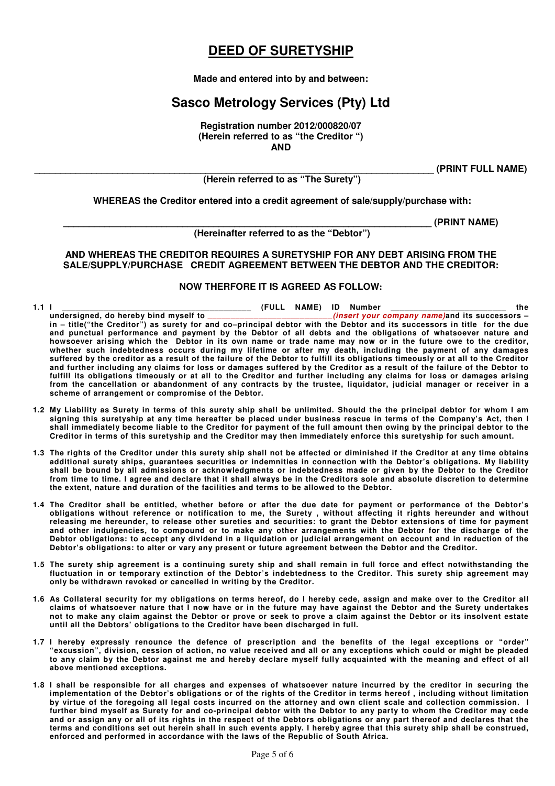## **DEED OF SURETYSHIP**

### **Made and entered into by and between:**

# **Sasco Metrology Services (Pty) Ltd**

**Registration number 2012/000820/07 (Herein referred to as "the Creditor ") AND** 

**\_\_\_\_\_\_\_\_\_\_\_\_\_\_\_\_\_\_\_\_\_\_\_\_\_\_\_\_\_\_\_\_\_\_\_\_\_\_\_\_\_\_\_\_\_\_\_\_\_\_\_\_\_\_\_\_\_\_\_\_\_\_\_\_\_\_\_\_\_\_\_\_\_\_\_\_\_ (PRINT FULL NAME)** 

 **(Herein referred to as "The Surety")** 

**WHEREAS the Creditor entered into a credit agreement of sale/supply/purchase with:** 

**\_\_\_\_\_\_\_\_\_\_\_\_\_\_\_\_\_\_\_\_\_\_\_\_\_\_\_\_\_\_\_\_\_\_\_\_\_\_\_\_\_\_\_\_\_\_\_\_\_\_\_\_\_\_\_\_\_\_\_\_\_\_\_\_\_\_\_\_\_\_\_ (PRINT NAME)** 

 **(Hereinafter referred to as the "Debtor")** 

**AND WHEREAS THE CREDITOR REQUIRES A SURETYSHIP FOR ANY DEBT ARISING FROM THE SALE/SUPPLY/PURCHASE CREDIT AGREEMENT BETWEEN THE DEBTOR AND THE CREDITOR:** 

### **NOW THERFORE IT IS AGREED AS FOLLOW:**

- **1.1 I \_\_\_\_\_\_\_\_\_\_\_\_\_\_\_\_\_\_\_\_\_\_\_\_\_\_\_\_\_\_\_\_\_\_\_\_\_\_\_\_\_ (FULL NAME) ID Number \_\_\_\_\_\_\_\_\_\_\_\_\_\_\_\_\_\_\_\_\_\_\_\_\_ the**  *<u>unsert your company name)*and its successors –</u> **in – title("the Creditor") as surety for and co–principal debtor with the Debtor and its successors in title for the due and punctual performance and payment by the Debtor of all debts and the obligations of whatsoever nature and howsoever arising which the Debtor in its own name or trade name may now or in the future owe to the creditor, whether such indebtedness occurs during my lifetime or after my death, including the payment of any damages suffered by the creditor as a result of the failure of the Debtor to fulfill its obligations timeously or at all to the Creditor and further including any claims for loss or damages suffered by the Creditor as a result of the failure of the Debtor to fulfill its obligations timeously or at all to the Creditor and further including any claims for loss or damages arising from the cancellation or abandonment of any contracts by the trustee, liquidator, judicial manager or receiver in a scheme of arrangement or compromise of the Debtor.**
- **1.2 My Liability as Surety in terms of this surety ship shall be unlimited. Should the the principal debtor for whom I am signing this suretyship at any time hereafter be placed under business rescue in terms of the Company's Act, then I shall immediately become liable to the Creditor for payment of the full amount then owing by the principal debtor to the Creditor in terms of this suretyship and the Creditor may then immediately enforce this suretyship for such amount.**
- **1.3 The rights of the Creditor under this surety ship shall not be affected or diminished if the Creditor at any time obtains additional surety ships, guarantees securities or indemnities in connection with the Debtor's obligations. My liability shall be bound by all admissions or acknowledgments or indebtedness made or given by the Debtor to the Creditor from time to time. I agree and declare that it shall always be in the Creditors sole and absolute discretion to determine the extent, nature and duration of the facilities and terms to be allowed to the Debtor.**
- **1.4 The Creditor shall be entitled, whether before or after the due date for payment or performance of the Debtor's obligations without reference or notification to me, the Surety , without affecting it rights hereunder and without releasing me hereunder, to release other sureties and securities: to grant the Debtor extensions of time for payment and other indulgencies, to compound or to make any other arrangements with the Debtor for the discharge of the Debtor obligations: to accept any dividend in a liquidation or judicial arrangement on account and in reduction of the Debtor's obligations: to alter or vary any present or future agreement between the Debtor and the Creditor.**
- **1.5 The surety ship agreement is a continuing surety ship and shall remain in full force and effect notwithstanding the fluctuation in or temporary extinction of the Debtor's indebtedness to the Creditor. This surety ship agreement may only be withdrawn revoked or cancelled in writing by the Creditor.**
- **1.6 As Collateral security for my obligations on terms hereof, do I hereby cede, assign and make over to the Creditor all claims of whatsoever nature that I now have or in the future may have against the Debtor and the Surety undertakes not to make any claim against the Debtor or prove or seek to prove a claim against the Debtor or its insolvent estate until all the Debtors' obligations to the Creditor have been discharged in full.**
- **1.7 I hereby expressly renounce the defence of prescription and the benefits of the legal exceptions or "order" "excussion", division, cession of action, no value received and all or any exceptions which could or might be pleaded to any claim by the Debtor against me and hereby declare myself fully acquainted with the meaning and effect of all above mentioned exceptions.**
- **1.8 I shall be responsible for all charges and expenses of whatsoever nature incurred by the creditor in securing the implementation of the Debtor's obligations or of the rights of the Creditor in terms hereof , including without limitation by virtue of the foregoing all legal costs incurred on the attorney and own client scale and collection commission. I further bind myself as Surety for and co-principal debtor with the Debtor to any party to whom the Creditor may cede and or assign any or all of its rights in the respect of the Debtors obligations or any part thereof and declares that the terms and conditions set out herein shall in such events apply. I hereby agree that this surety ship shall be construed, enforced and performed in accordance with the laws of the Republic of South Africa.**